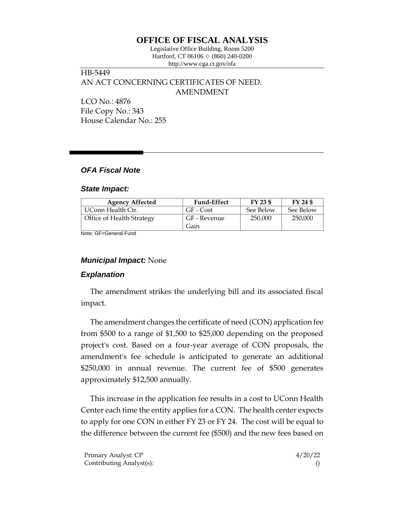# **OFFICE OF FISCAL ANALYSIS**

Legislative Office Building, Room 5200 Hartford, CT 06106  $\Diamond$  (860) 240-0200 http://www.cga.ct.gov/ofa

## HB-5449 AN ACT CONCERNING CERTIFICATES OF NEED. AMENDMENT LCO No.: 4876

File Copy No.: 343 House Calendar No.: 255

# *OFA Fiscal Note*

#### *State Impact:*

| <b>Agency Affected</b>    | <b>Fund-Effect</b> | $FY$ 23 \$ | FY 24 \$  |
|---------------------------|--------------------|------------|-----------|
| UConn Health Ctr.         | GF - Cost          | See Below  | See Below |
| Office of Health Strategy | GF - Revenue       | 250,000    | 250,000   |
|                           | Gain               |            |           |

Note: GF=General Fund

### *Municipal Impact:* None

### *Explanation*

The amendment strikes the underlying bill and its associated fiscal impact.

The amendment changes the certificate of need (CON) application fee from \$500 to a range of \$1,500 to \$25,000 depending on the proposed project's cost. Based on a four-year average of CON proposals, the amendment's fee schedule is anticipated to generate an additional \$250,000 in annual revenue. The current fee of \$500 generates approximately \$12,500 annually.

This increase in the application fee results in a cost to UConn Health Center each time the entity applies for a CON. The health center expects to apply for one CON in either FY 23 or FY 24. The cost will be equal to the difference between the current fee (\$500) and the new fees based on